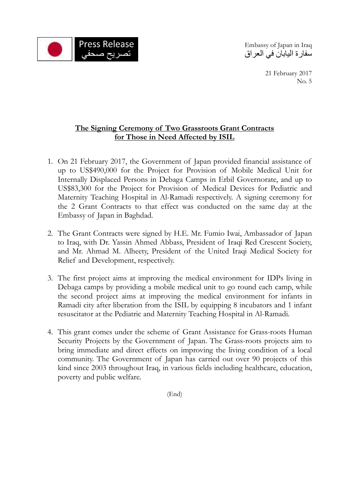

**Press Release** Embassy of Japan in Iraq سفارة اليابان في العراق

> 21 February 2017 No. 5

# **The Signing Ceremony of Two Grassroots Grant Contracts for Those in Need Affected by ISIL**

- 1. On 21 February 2017, the Government of Japan provided financial assistance of up to US\$490,000 for the Project for Provision of Mobile Medical Unit for Internally Displaced Persons in Debaga Camps in Erbil Governorate, and up to US\$83,300 for the Project for Provision of Medical Devices for Pediatric and Maternity Teaching Hospital in Al-Ramadi respectively. A signing ceremony for the 2 Grant Contracts to that effect was conducted on the same day at the Embassy of Japan in Baghdad.
- 2. The Grant Contracts were signed by H.E. Mr. Fumio Iwai, Ambassador of Japan to Iraq, with Dr. Yassin Ahmed Abbass, President of Iraqi Red Crescent Society, and Mr. Ahmad M. Alheety, President of the United Iraqi Medical Society for Relief and Development, respectively.
- 3. The first project aims at improving the medical environment for IDPs living in Debaga camps by providing a mobile medical unit to go round each camp, while the second project aims at improving the medical environment for infants in Ramadi city after liberation from the ISIL by equipping 8 incubators and 1 infant resuscitator at the Pediatric and Maternity Teaching Hospital in Al-Ramadi.
- 4. This grant comes under the scheme of Grant Assistance for Grass-roots Human Security Projects by the Government of Japan. The Grass-roots projects aim to bring immediate and direct effects on improving the living condition of a local community. The Government of Japan has carried out over 90 projects of this kind since 2003 throughout Iraq, in various fields including healthcare, education, poverty and public welfare.

(End)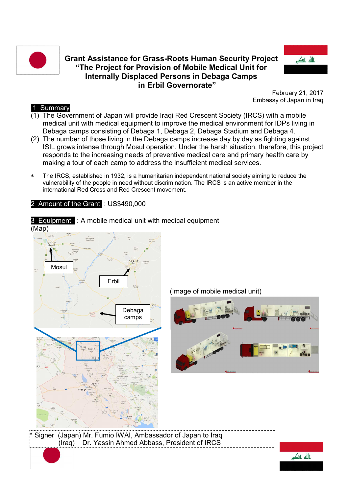

### **Grant Assistance for Grass-Roots Human Security Project "The Project for Provision of Mobile Medical Unit for Internally Displaced Persons in Debaga Camps in Erbil Governorate"**



February 21, 2017 Embassy of Japan in Iraq

### 1 Summary

- (1) The Government of Japan will provide Iraqi Red Crescent Society (IRCS) with a mobile medical unit with medical equipment to improve the medical environment for IDPs living in Debaga camps consisting of Debaga 1, Debaga 2, Debaga Stadium and Debaga 4.
- (2) The number of those living in the Debaga camps increase day by day as fighting against ISIL grows intense through Mosul operation. Under the harsh situation, therefore, this project responds to the increasing needs of preventive medical care and primary health care by making a tour of each camp to address the insufficient medical services.
- The IRCS, established in 1932, is a humanitarian independent national society aiming to reduce the vulnerability of the people in need without discrimination. The IRCS is an active member in the international Red Cross and Red Crescent movement.

2 Amount of the Grant : US\$490,000

(Map) Signer (Japan) Mr. Fumio IWAI, Ambassador of Japan to Iraq (Iraq) Dr. Yassin Ahmed Abbass, President of IRCS Mosul Erbil Debaga camps

3 Equipment : A mobile medical unit with medical equipment

(Image of mobile medical unit)



ىاللە باك